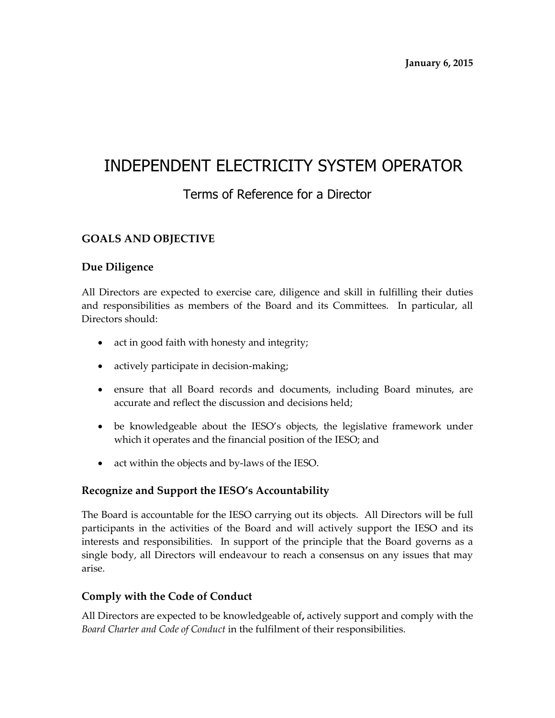# INDEPENDENT ELECTRICITY SYSTEM OPERATOR

# Terms of Reference for a Director

# **GOALS AND OBJECTIVE**

# **Due Diligence**

All Directors are expected to exercise care, diligence and skill in fulfilling their duties and responsibilities as members of the Board and its Committees. In particular, all Directors should:

- act in good faith with honesty and integrity;
- actively participate in decision-making;
- ensure that all Board records and documents, including Board minutes, are accurate and reflect the discussion and decisions held;
- be knowledgeable about the IESO's objects, the legislative framework under which it operates and the financial position of the IESO; and
- act within the objects and by-laws of the IESO.

### **Recognize and Support the IESO's Accountability**

The Board is accountable for the IESO carrying out its objects. All Directors will be full participants in the activities of the Board and will actively support the IESO and its interests and responsibilities. In support of the principle that the Board governs as a single body, all Directors will endeavour to reach a consensus on any issues that may arise.

### **Comply with the Code of Conduct**

All Directors are expected to be knowledgeable of**,** actively support and comply with the *Board Charter and Code of Conduct* in the fulfilment of their responsibilities.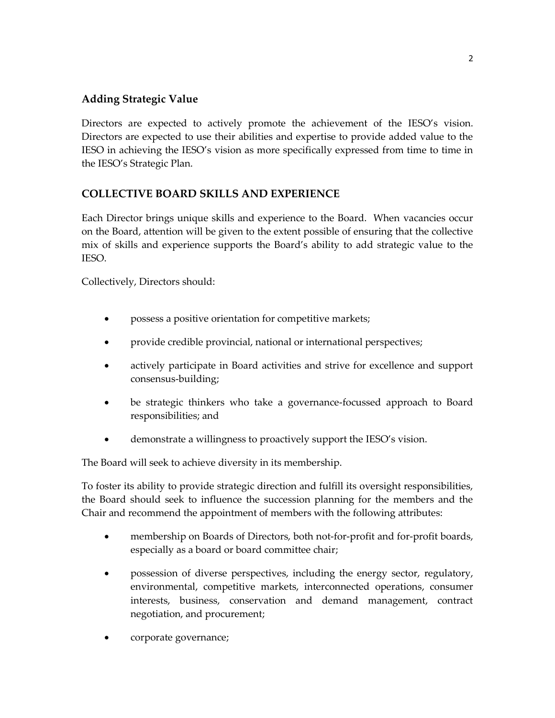# **Adding Strategic Value**

Directors are expected to actively promote the achievement of the IESO's vision. Directors are expected to use their abilities and expertise to provide added value to the IESO in achieving the IESO's vision as more specifically expressed from time to time in the IESO's Strategic Plan.

# **COLLECTIVE BOARD SKILLS AND EXPERIENCE**

Each Director brings unique skills and experience to the Board. When vacancies occur on the Board, attention will be given to the extent possible of ensuring that the collective mix of skills and experience supports the Board's ability to add strategic value to the IESO.

Collectively, Directors should:

- possess a positive orientation for competitive markets;
- provide credible provincial, national or international perspectives;
- actively participate in Board activities and strive for excellence and support consensus-building;
- be strategic thinkers who take a governance-focussed approach to Board responsibilities; and
- demonstrate a willingness to proactively support the IESO's vision.

The Board will seek to achieve diversity in its membership.

To foster its ability to provide strategic direction and fulfill its oversight responsibilities, the Board should seek to influence the succession planning for the members and the Chair and recommend the appointment of members with the following attributes:

- membership on Boards of Directors, both not-for-profit and for-profit boards, especially as a board or board committee chair;
- possession of diverse perspectives, including the energy sector, regulatory, environmental, competitive markets, interconnected operations, consumer interests, business, conservation and demand management, contract negotiation, and procurement;
- corporate governance;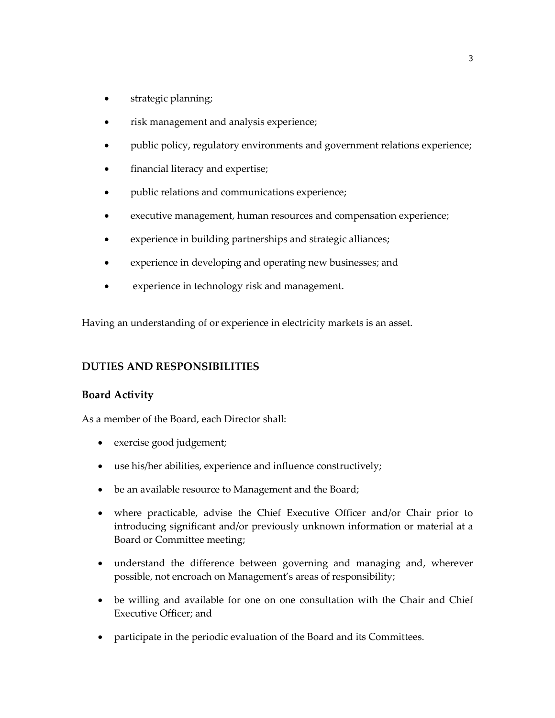- strategic planning;
- risk management and analysis experience;
- public policy, regulatory environments and government relations experience;
- financial literacy and expertise;
- public relations and communications experience;
- executive management, human resources and compensation experience;
- experience in building partnerships and strategic alliances;
- experience in developing and operating new businesses; and
- experience in technology risk and management.

Having an understanding of or experience in electricity markets is an asset.

### **DUTIES AND RESPONSIBILITIES**

#### **Board Activity**

As a member of the Board, each Director shall:

- exercise good judgement;
- use his/her abilities, experience and influence constructively;
- be an available resource to Management and the Board;
- where practicable, advise the Chief Executive Officer and/or Chair prior to introducing significant and/or previously unknown information or material at a Board or Committee meeting;
- understand the difference between governing and managing and, wherever possible, not encroach on Management's areas of responsibility;
- be willing and available for one on one consultation with the Chair and Chief Executive Officer; and
- participate in the periodic evaluation of the Board and its Committees.